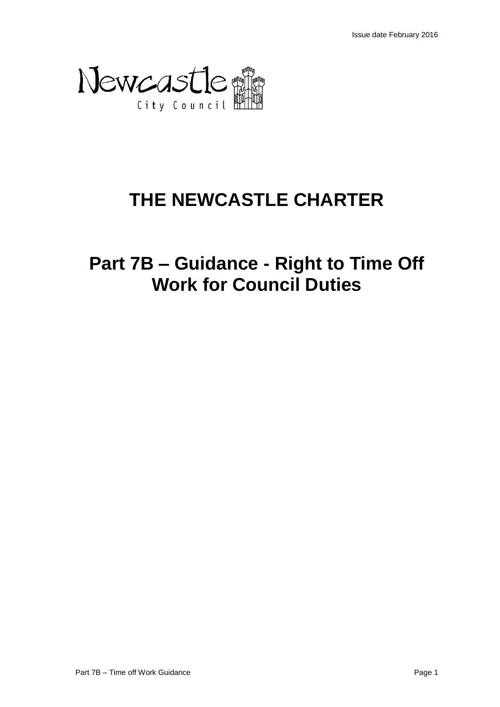

# **THE NEWCASTLE CHARTER**

**Part 7B – Guidance - Right to Time Off Work for Council Duties**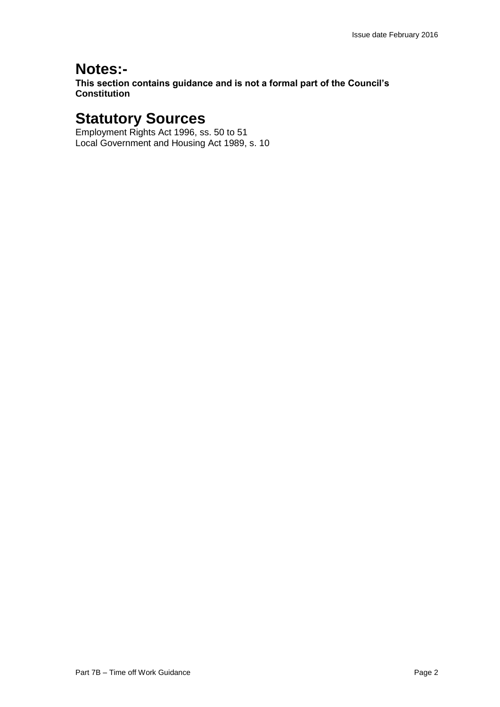### **Notes:-**

**This section contains guidance and is not a formal part of the Council's Constitution**

## **Statutory Sources**

Employment Rights Act 1996, ss. 50 to 51 Local Government and Housing Act 1989, s. 10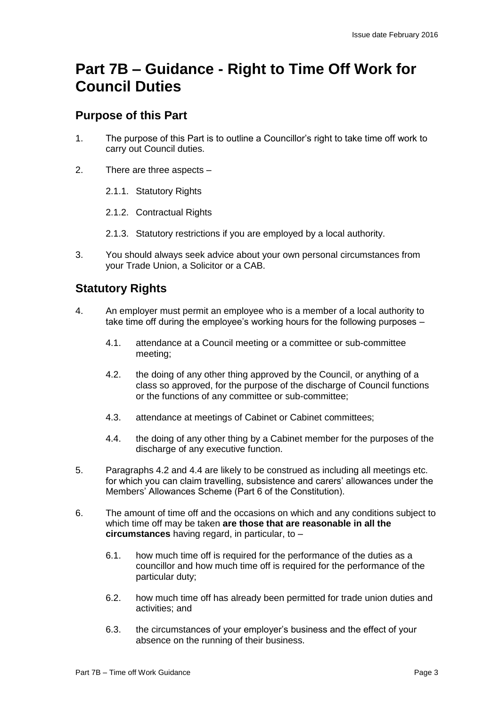## **Part 7B – Guidance - Right to Time Off Work for Council Duties**

#### **Purpose of this Part**

- 1. The purpose of this Part is to outline a Councillor's right to take time off work to carry out Council duties.
- 2. There are three aspects
	- 2.1.1. Statutory Rights
	- 2.1.2. Contractual Rights
	- 2.1.3. Statutory restrictions if you are employed by a local authority.
- 3. You should always seek advice about your own personal circumstances from your Trade Union, a Solicitor or a CAB.

### **Statutory Rights**

- 4. An employer must permit an employee who is a member of a local authority to take time off during the employee's working hours for the following purposes –
	- 4.1. attendance at a Council meeting or a committee or sub-committee meeting;
	- 4.2. the doing of any other thing approved by the Council, or anything of a class so approved, for the purpose of the discharge of Council functions or the functions of any committee or sub-committee;
	- 4.3. attendance at meetings of Cabinet or Cabinet committees;
	- 4.4. the doing of any other thing by a Cabinet member for the purposes of the discharge of any executive function.
- 5. Paragraphs 4.2 and 4.4 are likely to be construed as including all meetings etc. for which you can claim travelling, subsistence and carers' allowances under the Members' Allowances Scheme (Part 6 of the Constitution).
- 6. The amount of time off and the occasions on which and any conditions subject to which time off may be taken **are those that are reasonable in all the circumstances** having regard, in particular, to –
	- 6.1. how much time off is required for the performance of the duties as a councillor and how much time off is required for the performance of the particular duty;
	- 6.2. how much time off has already been permitted for trade union duties and activities; and
	- 6.3. the circumstances of your employer's business and the effect of your absence on the running of their business.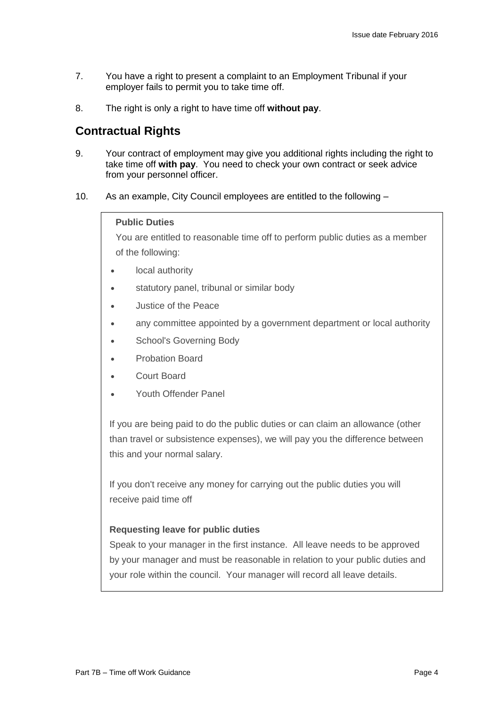- 7. You have a right to present a complaint to an Employment Tribunal if your employer fails to permit you to take time off.
- 8. The right is only a right to have time off **without pay**.

#### **Contractual Rights**

- 9. Your contract of employment may give you additional rights including the right to take time off **with pay**. You need to check your own contract or seek advice from your personnel officer.
- 10. As an example, City Council employees are entitled to the following –

#### **Public Duties**

You are entitled to reasonable time off to perform public duties as a member of the following:

- local authority
- **statutory panel, tribunal or similar body**
- Justice of the Peace
- any committee appointed by a government department or local authority
- School's Governing Body
- Probation Board
- Court Board
- Youth Offender Panel

If you are being paid to do the public duties or can claim an allowance (other than travel or subsistence expenses), we will pay you the difference between this and your normal salary.

If you don't receive any money for carrying out the public duties you will receive paid time off

#### **Requesting leave for public duties**

Speak to your manager in the first instance. All leave needs to be approved by your manager and must be reasonable in relation to your public duties and your role within the council. Your manager will record all leave details.